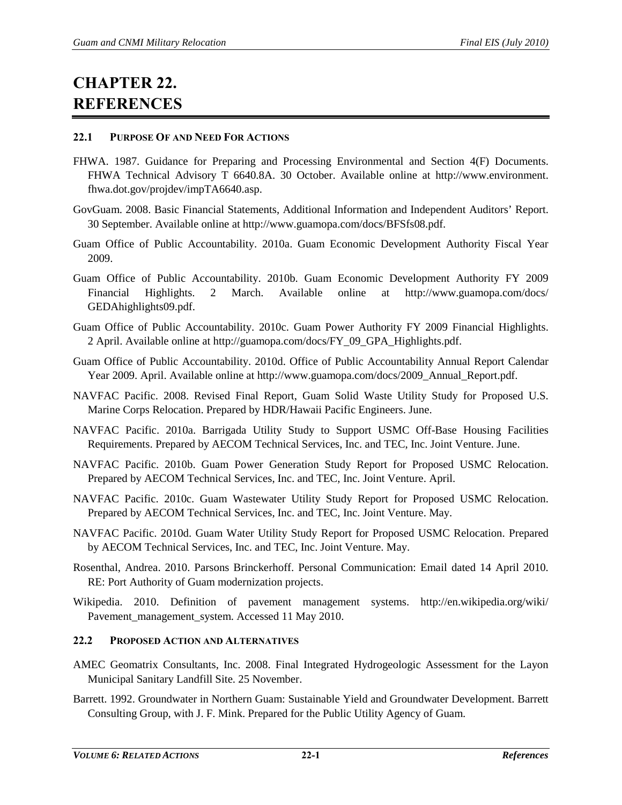# **CHAPTER 22. REFERENCES**

## **22.1 PURPOSE OF AND NEED FOR ACTIONS**

- FHWA. 1987. Guidance for Preparing and Processing Environmental and Section 4(F) Documents. FHWA Technical Advisory T 6640.8A. 30 October. Available online at http://www.environment. fhwa.dot.gov/projdev/impTA6640.asp.
- GovGuam. 2008. Basic Financial Statements, Additional Information and Independent Auditors' Report. 30 September. Available online at http://www.guamopa.com/docs/BFSfs08.pdf.
- Guam Office of Public Accountability. 2010a. Guam Economic Development Authority Fiscal Year 2009.
- Guam Office of Public Accountability. 2010b. Guam Economic Development Authority FY 2009 Financial Highlights. 2 March. Available online at http://www.guamopa.com/docs/ GEDAhighlights09.pdf.
- Guam Office of Public Accountability. 2010c. Guam Power Authority FY 2009 Financial Highlights. 2 April. Available online at http://guamopa.com/docs/FY\_09\_GPA\_Highlights.pdf.
- Guam Office of Public Accountability. 2010d. Office of Public Accountability Annual Report Calendar Year 2009. April. Available online at http://www.guamopa.com/docs/2009\_Annual\_Report.pdf.
- NAVFAC Pacific. 2008. Revised Final Report, Guam Solid Waste Utility Study for Proposed U.S. Marine Corps Relocation. Prepared by HDR/Hawaii Pacific Engineers. June.
- NAVFAC Pacific. 2010a. Barrigada Utility Study to Support USMC Off-Base Housing Facilities Requirements. Prepared by AECOM Technical Services, Inc. and TEC, Inc. Joint Venture. June.
- NAVFAC Pacific. 2010b. Guam Power Generation Study Report for Proposed USMC Relocation. Prepared by AECOM Technical Services, Inc. and TEC, Inc. Joint Venture. April.
- NAVFAC Pacific. 2010c. Guam Wastewater Utility Study Report for Proposed USMC Relocation. Prepared by AECOM Technical Services, Inc. and TEC, Inc. Joint Venture. May.
- NAVFAC Pacific. 2010d. Guam Water Utility Study Report for Proposed USMC Relocation. Prepared by AECOM Technical Services, Inc. and TEC, Inc. Joint Venture. May.
- Rosenthal, Andrea. 2010. Parsons Brinckerhoff. Personal Communication: Email dated 14 April 2010. RE: Port Authority of Guam modernization projects.
- Wikipedia. 2010. Definition of pavement management systems. http://en.wikipedia.org/wiki/ Pavement\_management\_system. Accessed 11 May 2010.

# **22.2 PROPOSED ACTION AND ALTERNATIVES**

- AMEC Geomatrix Consultants, Inc. 2008. Final Integrated Hydrogeologic Assessment for the Layon Municipal Sanitary Landfill Site. 25 November.
- Barrett. 1992. Groundwater in Northern Guam: Sustainable Yield and Groundwater Development. Barrett Consulting Group, with J. F. Mink. Prepared for the Public Utility Agency of Guam.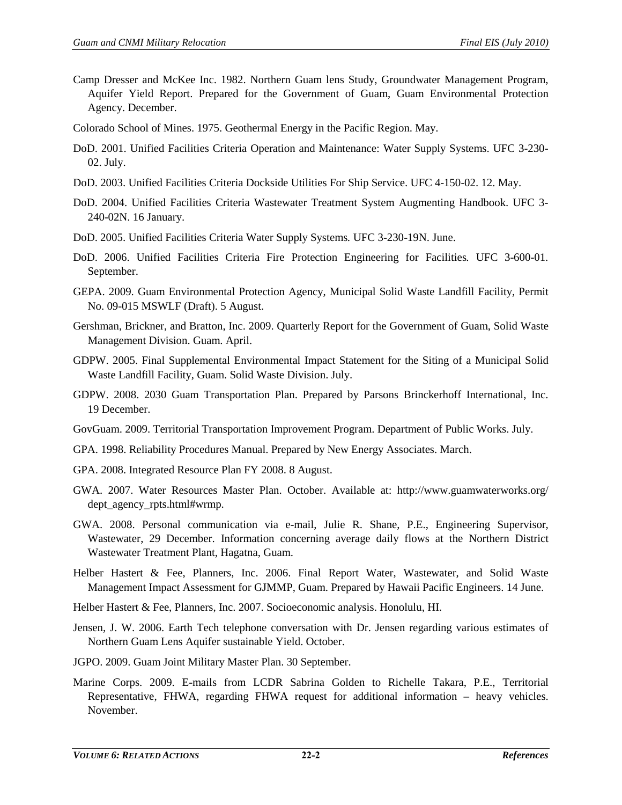- Camp Dresser and McKee Inc. 1982. Northern Guam lens Study, Groundwater Management Program, Aquifer Yield Report. Prepared for the Government of Guam, Guam Environmental Protection Agency. December.
- Colorado School of Mines. 1975. Geothermal Energy in the Pacific Region. May.
- DoD. 2001. Unified Facilities Criteria Operation and Maintenance: Water Supply Systems. UFC 3-230- 02. July.
- DoD. 2003. Unified Facilities Criteria Dockside Utilities For Ship Service. UFC 4-150-02. 12. May.
- DoD. 2004. Unified Facilities Criteria Wastewater Treatment System Augmenting Handbook. UFC 3- 240-02N. 16 January.
- DoD. 2005. Unified Facilities Criteria Water Supply Systems*.* UFC 3-230-19N. June.
- DoD. 2006. Unified Facilities Criteria Fire Protection Engineering for Facilities*.* UFC 3-600-01. September.
- GEPA. 2009. Guam Environmental Protection Agency, Municipal Solid Waste Landfill Facility, Permit No. 09-015 MSWLF (Draft). 5 August.
- Gershman, Brickner, and Bratton, Inc. 2009. Quarterly Report for the Government of Guam, Solid Waste Management Division. Guam. April.
- GDPW. 2005. Final Supplemental Environmental Impact Statement for the Siting of a Municipal Solid Waste Landfill Facility, Guam. Solid Waste Division. July.
- GDPW. 2008. 2030 Guam Transportation Plan. Prepared by Parsons Brinckerhoff International, Inc. 19 December.
- GovGuam. 2009. Territorial Transportation Improvement Program. Department of Public Works. July.
- GPA. 1998. Reliability Procedures Manual. Prepared by New Energy Associates. March.
- GPA. 2008. Integrated Resource Plan FY 2008. 8 August.
- GWA. 2007. Water Resources Master Plan. October. Available at: http://www.guamwaterworks.org/ dept\_agency\_rpts.html#wrmp.
- GWA. 2008. Personal communication via e-mail, Julie R. Shane, P.E., Engineering Supervisor, Wastewater, 29 December. Information concerning average daily flows at the Northern District Wastewater Treatment Plant, Hagatna, Guam.
- Helber Hastert & Fee, Planners, Inc. 2006. Final Report Water, Wastewater, and Solid Waste Management Impact Assessment for GJMMP, Guam. Prepared by Hawaii Pacific Engineers. 14 June.
- Helber Hastert & Fee, Planners, Inc. 2007. Socioeconomic analysis. Honolulu, HI.
- Jensen, J. W. 2006. Earth Tech telephone conversation with Dr. Jensen regarding various estimates of Northern Guam Lens Aquifer sustainable Yield. October.
- JGPO. 2009. Guam Joint Military Master Plan. 30 September.
- Marine Corps. 2009. E-mails from LCDR Sabrina Golden to Richelle Takara, P.E., Territorial Representative, FHWA, regarding FHWA request for additional information – heavy vehicles. November.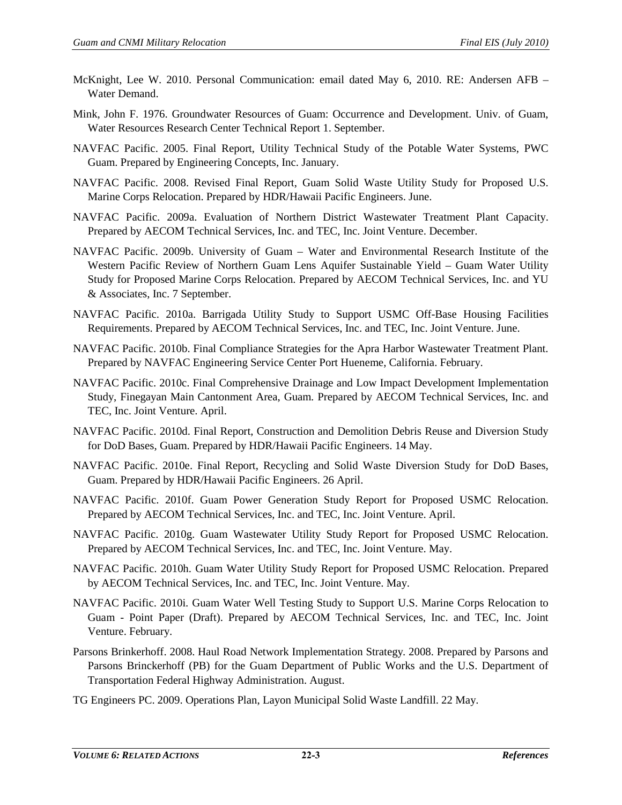- McKnight, Lee W. 2010. Personal Communication: email dated May 6, 2010. RE: Andersen AFB Water Demand.
- Mink, John F. 1976. Groundwater Resources of Guam: Occurrence and Development. Univ. of Guam, Water Resources Research Center Technical Report 1. September.
- NAVFAC Pacific. 2005. Final Report, Utility Technical Study of the Potable Water Systems, PWC Guam. Prepared by Engineering Concepts, Inc. January.
- NAVFAC Pacific. 2008. Revised Final Report, Guam Solid Waste Utility Study for Proposed U.S. Marine Corps Relocation. Prepared by HDR/Hawaii Pacific Engineers. June.
- NAVFAC Pacific. 2009a. Evaluation of Northern District Wastewater Treatment Plant Capacity. Prepared by AECOM Technical Services, Inc. and TEC, Inc. Joint Venture. December.
- NAVFAC Pacific. 2009b. University of Guam Water and Environmental Research Institute of the Western Pacific Review of Northern Guam Lens Aquifer Sustainable Yield – Guam Water Utility Study for Proposed Marine Corps Relocation. Prepared by AECOM Technical Services, Inc. and YU & Associates, Inc. 7 September.
- NAVFAC Pacific. 2010a. Barrigada Utility Study to Support USMC Off-Base Housing Facilities Requirements. Prepared by AECOM Technical Services, Inc. and TEC, Inc. Joint Venture. June.
- NAVFAC Pacific. 2010b. Final Compliance Strategies for the Apra Harbor Wastewater Treatment Plant. Prepared by NAVFAC Engineering Service Center Port Hueneme, California. February.
- NAVFAC Pacific. 2010c. Final Comprehensive Drainage and Low Impact Development Implementation Study, Finegayan Main Cantonment Area, Guam. Prepared by AECOM Technical Services, Inc. and TEC, Inc. Joint Venture. April.
- NAVFAC Pacific. 2010d. Final Report, Construction and Demolition Debris Reuse and Diversion Study for DoD Bases, Guam. Prepared by HDR/Hawaii Pacific Engineers. 14 May.
- NAVFAC Pacific. 2010e. Final Report, Recycling and Solid Waste Diversion Study for DoD Bases, Guam. Prepared by HDR/Hawaii Pacific Engineers. 26 April.
- NAVFAC Pacific. 2010f. Guam Power Generation Study Report for Proposed USMC Relocation. Prepared by AECOM Technical Services, Inc. and TEC, Inc. Joint Venture. April.
- NAVFAC Pacific. 2010g. Guam Wastewater Utility Study Report for Proposed USMC Relocation. Prepared by AECOM Technical Services, Inc. and TEC, Inc. Joint Venture. May.
- NAVFAC Pacific. 2010h. Guam Water Utility Study Report for Proposed USMC Relocation. Prepared by AECOM Technical Services, Inc. and TEC, Inc. Joint Venture. May.
- NAVFAC Pacific. 2010i. Guam Water Well Testing Study to Support U.S. Marine Corps Relocation to Guam - Point Paper (Draft). Prepared by AECOM Technical Services, Inc. and TEC, Inc. Joint Venture. February.
- Parsons Brinkerhoff. 2008. Haul Road Network Implementation Strategy*.* 2008. Prepared by Parsons and Parsons Brinckerhoff (PB) for the Guam Department of Public Works and the U.S. Department of Transportation Federal Highway Administration. August.
- TG Engineers PC. 2009. Operations Plan, Layon Municipal Solid Waste Landfill. 22 May.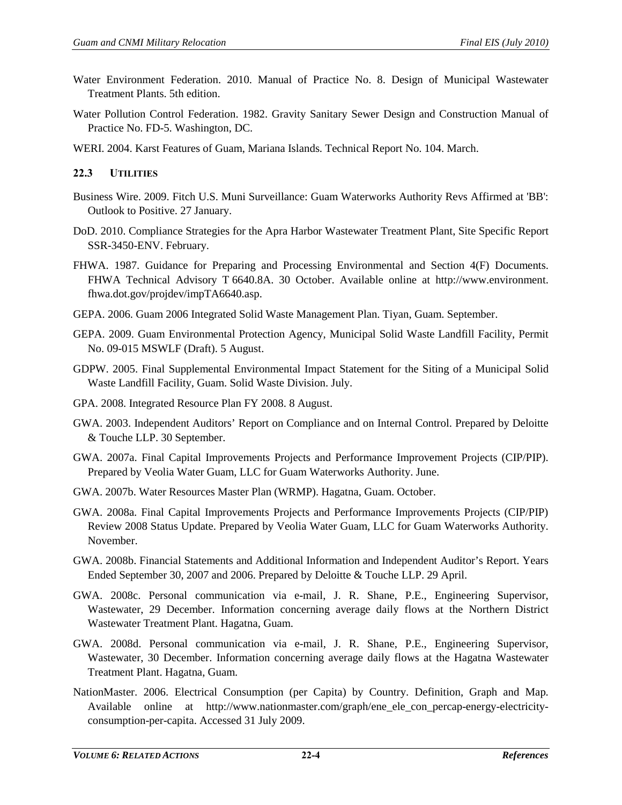- Water Environment Federation. 2010. Manual of Practice No. 8. Design of Municipal Wastewater Treatment Plants. 5th edition.
- Water Pollution Control Federation. 1982. Gravity Sanitary Sewer Design and Construction Manual of Practice No. FD-5. Washington, DC.
- WERI. 2004. Karst Features of Guam, Mariana Islands. Technical Report No. 104. March.

# **22.3 UTILITIES**

- Business Wire. 2009. Fitch U.S. Muni Surveillance: Guam Waterworks Authority Revs Affirmed at 'BB': Outlook to Positive. 27 January.
- DoD. 2010. Compliance Strategies for the Apra Harbor Wastewater Treatment Plant, Site Specific Report SSR-3450-ENV. February.
- FHWA. 1987. Guidance for Preparing and Processing Environmental and Section 4(F) Documents. FHWA Technical Advisory T 6640.8A. 30 October. Available online at http://www.environment. fhwa.dot.gov/projdev/impTA6640.asp.
- GEPA. 2006. Guam 2006 Integrated Solid Waste Management Plan. Tiyan, Guam. September.
- GEPA. 2009. Guam Environmental Protection Agency, Municipal Solid Waste Landfill Facility, Permit No. 09-015 MSWLF (Draft). 5 August.
- GDPW. 2005. Final Supplemental Environmental Impact Statement for the Siting of a Municipal Solid Waste Landfill Facility, Guam. Solid Waste Division. July.
- GPA. 2008. Integrated Resource Plan FY 2008. 8 August.
- GWA. 2003. Independent Auditors' Report on Compliance and on Internal Control. Prepared by Deloitte & Touche LLP. 30 September.
- GWA. 2007a. Final Capital Improvements Projects and Performance Improvement Projects (CIP/PIP). Prepared by Veolia Water Guam, LLC for Guam Waterworks Authority. June.
- GWA. 2007b. Water Resources Master Plan (WRMP). Hagatna, Guam. October.
- GWA. 2008a. Final Capital Improvements Projects and Performance Improvements Projects (CIP/PIP) Review 2008 Status Update. Prepared by Veolia Water Guam, LLC for Guam Waterworks Authority. November.
- GWA. 2008b. Financial Statements and Additional Information and Independent Auditor's Report. Years Ended September 30, 2007 and 2006. Prepared by Deloitte & Touche LLP. 29 April.
- GWA. 2008c. Personal communication via e-mail, J. R. Shane, P.E., Engineering Supervisor, Wastewater, 29 December. Information concerning average daily flows at the Northern District Wastewater Treatment Plant. Hagatna, Guam.
- GWA. 2008d. Personal communication via e-mail, J. R. Shane, P.E., Engineering Supervisor, Wastewater, 30 December. Information concerning average daily flows at the Hagatna Wastewater Treatment Plant. Hagatna, Guam.
- NationMaster. 2006. Electrical Consumption (per Capita) by Country. Definition, Graph and Map. Available online at [http://www.nationmaster.com/graph/ene\\_ele\\_con\\_percap-energy-electricity](http://www.nationmaster.com/graph/ene_ele_con_percap-energy-electricity-consumption-per-capita.%20Accessed%2031%20July%202009)[consumption-per-capita. Accessed 31 July 2009.](http://www.nationmaster.com/graph/ene_ele_con_percap-energy-electricity-consumption-per-capita.%20Accessed%2031%20July%202009)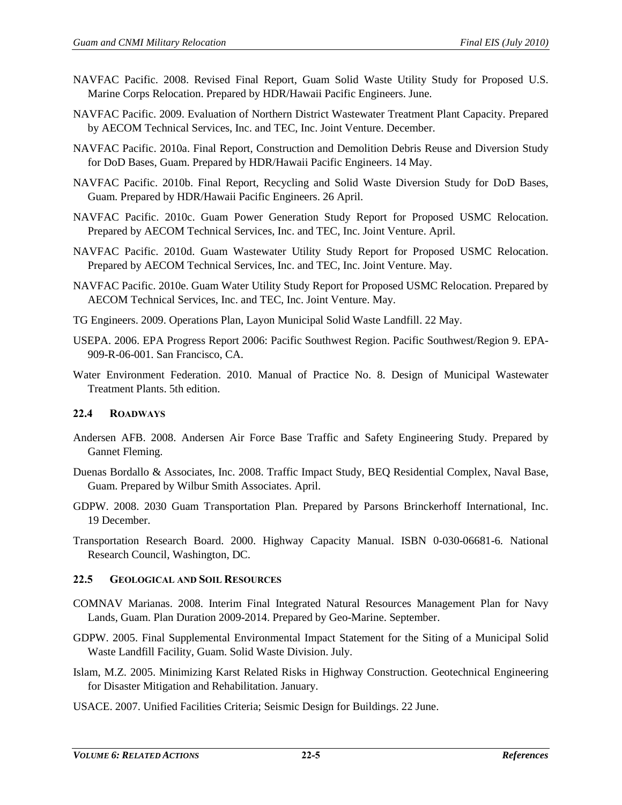- NAVFAC Pacific. 2008. Revised Final Report, Guam Solid Waste Utility Study for Proposed U.S. Marine Corps Relocation. Prepared by HDR/Hawaii Pacific Engineers. June.
- NAVFAC Pacific. 2009. Evaluation of Northern District Wastewater Treatment Plant Capacity. Prepared by AECOM Technical Services, Inc. and TEC, Inc. Joint Venture. December.
- NAVFAC Pacific. 2010a. Final Report, Construction and Demolition Debris Reuse and Diversion Study for DoD Bases, Guam. Prepared by HDR/Hawaii Pacific Engineers. 14 May.
- NAVFAC Pacific. 2010b. Final Report, Recycling and Solid Waste Diversion Study for DoD Bases, Guam. Prepared by HDR/Hawaii Pacific Engineers. 26 April.
- NAVFAC Pacific. 2010c. Guam Power Generation Study Report for Proposed USMC Relocation. Prepared by AECOM Technical Services, Inc. and TEC, Inc. Joint Venture. April.
- NAVFAC Pacific. 2010d. Guam Wastewater Utility Study Report for Proposed USMC Relocation. Prepared by AECOM Technical Services, Inc. and TEC, Inc. Joint Venture. May.
- NAVFAC Pacific. 2010e. Guam Water Utility Study Report for Proposed USMC Relocation. Prepared by AECOM Technical Services, Inc. and TEC, Inc. Joint Venture. May.
- TG Engineers. 2009. Operations Plan, Layon Municipal Solid Waste Landfill. 22 May.
- USEPA. 2006. EPA Progress Report 2006: Pacific Southwest Region. Pacific Southwest/Region 9. EPA-909-R-06-001. San Francisco, CA.
- Water Environment Federation. 2010. Manual of Practice No. 8. Design of Municipal Wastewater Treatment Plants. 5th edition.

## **22.4 ROADWAYS**

- Andersen AFB. 2008. Andersen Air Force Base Traffic and Safety Engineering Study. Prepared by Gannet Fleming.
- Duenas Bordallo & Associates, Inc. 2008. Traffic Impact Study, BEQ Residential Complex, Naval Base, Guam. Prepared by Wilbur Smith Associates. April.
- GDPW. 2008. 2030 Guam Transportation Plan. Prepared by Parsons Brinckerhoff International, Inc. 19 December.
- Transportation Research Board. 2000. Highway Capacity Manual. ISBN 0-030-06681-6. National Research Council, Washington, DC.

#### **22.5 GEOLOGICAL AND SOIL RESOURCES**

- COMNAV Marianas. 2008. Interim Final Integrated Natural Resources Management Plan for Navy Lands, Guam. Plan Duration 2009-2014. Prepared by Geo-Marine. September.
- GDPW. 2005. Final Supplemental Environmental Impact Statement for the Siting of a Municipal Solid Waste Landfill Facility, Guam. Solid Waste Division. July.
- Islam, M.Z. 2005. Minimizing Karst Related Risks in Highway Construction. Geotechnical Engineering for Disaster Mitigation and Rehabilitation. January.
- USACE. 2007. Unified Facilities Criteria; Seismic Design for Buildings. 22 June.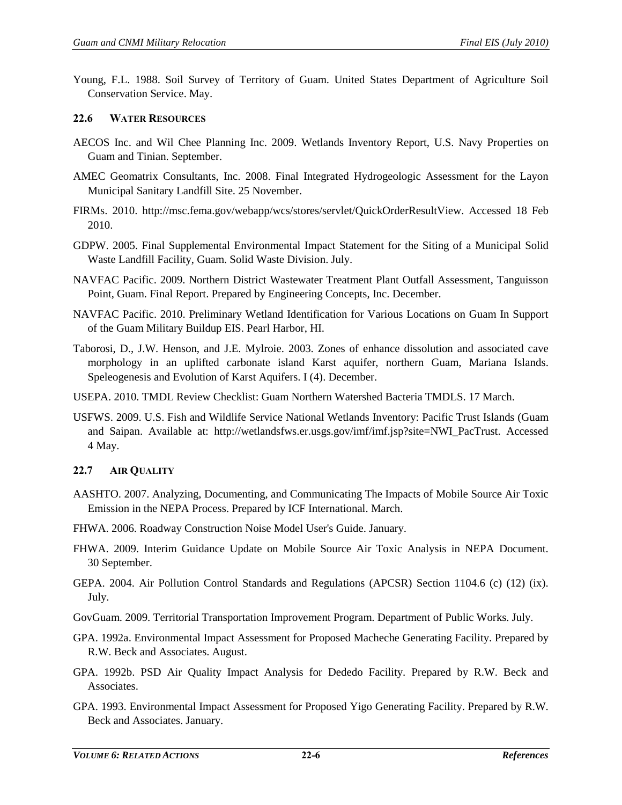Young, F.L. 1988. Soil Survey of Territory of Guam. United States Department of Agriculture Soil Conservation Service. May.

## **22.6 WATER RESOURCES**

- AECOS Inc. and Wil Chee Planning Inc. 2009. Wetlands Inventory Report, U.S. Navy Properties on Guam and Tinian. September.
- AMEC Geomatrix Consultants, Inc. 2008. Final Integrated Hydrogeologic Assessment for the Layon Municipal Sanitary Landfill Site. 25 November.
- FIRMs. 2010. http://msc.fema.gov/webapp/wcs/stores/servlet/QuickOrderResultView. Accessed 18 Feb 2010.
- GDPW. 2005. Final Supplemental Environmental Impact Statement for the Siting of a Municipal Solid Waste Landfill Facility, Guam. Solid Waste Division. July.
- NAVFAC Pacific. 2009. Northern District Wastewater Treatment Plant Outfall Assessment, Tanguisson Point, Guam. Final Report. Prepared by Engineering Concepts, Inc. December.
- NAVFAC Pacific. 2010. Preliminary Wetland Identification for Various Locations on Guam In Support of the Guam Military Buildup EIS. Pearl Harbor, HI.
- Taborosi, D., J.W. Henson, and J.E. Mylroie. 2003. Zones of enhance dissolution and associated cave morphology in an uplifted carbonate island Karst aquifer, northern Guam, Mariana Islands. Speleogenesis and Evolution of Karst Aquifers. I (4). December.
- USEPA. 2010. TMDL Review Checklist: Guam Northern Watershed Bacteria TMDLS. 17 March.
- USFWS. 2009. U.S. Fish and Wildlife Service National Wetlands Inventory: Pacific Trust Islands (Guam and Saipan. Available at: http://wetlandsfws.er.usgs.gov/imf/imf.jsp?site=NWI\_PacTrust. Accessed 4 May.

# **22.7 AIR QUALITY**

- AASHTO. 2007. Analyzing, Documenting, and Communicating The Impacts of Mobile Source Air Toxic Emission in the NEPA Process. Prepared by ICF International. March.
- FHWA. 2006. Roadway Construction Noise Model User's Guide. January.
- FHWA. 2009. Interim Guidance Update on Mobile Source Air Toxic Analysis in NEPA Document. 30 September.
- GEPA. 2004. Air Pollution Control Standards and Regulations (APCSR) Section 1104.6 (c) (12) (ix). July.

GovGuam. 2009. Territorial Transportation Improvement Program. Department of Public Works. July.

- GPA. 1992a. Environmental Impact Assessment for Proposed Macheche Generating Facility. Prepared by R.W. Beck and Associates. August.
- GPA. 1992b. PSD Air Quality Impact Analysis for Dededo Facility. Prepared by R.W. Beck and Associates.
- GPA. 1993. Environmental Impact Assessment for Proposed Yigo Generating Facility. Prepared by R.W. Beck and Associates. January.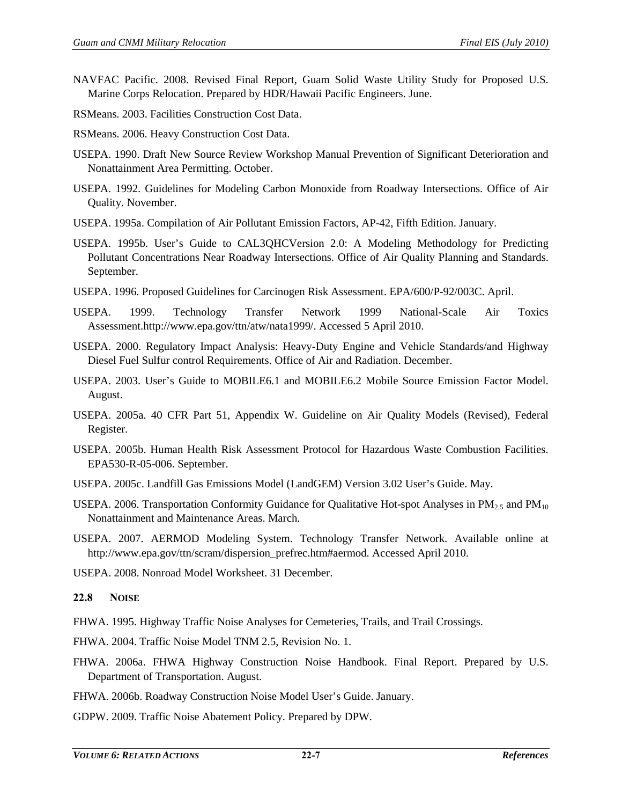- NAVFAC Pacific. 2008. Revised Final Report, Guam Solid Waste Utility Study for Proposed U.S. Marine Corps Relocation. Prepared by HDR/Hawaii Pacific Engineers. June.
- RSMeans. 2003. Facilities Construction Cost Data.
- RSMeans. 2006. Heavy Construction Cost Data.
- USEPA. 1990. Draft New Source Review Workshop Manual Prevention of Significant Deterioration and Nonattainment Area Permitting. October.
- USEPA. 1992. Guidelines for Modeling Carbon Monoxide from Roadway Intersections. Office of Air Quality. November.
- USEPA. 1995a. Compilation of Air Pollutant Emission Factors, AP-42, Fifth Edition. January.
- USEPA. 1995b. User's Guide to CAL3QHCVersion 2.0: A Modeling Methodology for Predicting Pollutant Concentrations Near Roadway Intersections. Office of Air Quality Planning and Standards. September.
- USEPA. 1996. Proposed Guidelines for Carcinogen Risk Assessment. EPA/600/P-92/003C. April.
- USEPA. 1999. Technology Transfer Network 1999 National-Scale Air Toxics Assessment.http://www.epa.gov/ttn/atw/nata1999/. Accessed 5 April 2010.
- USEPA. 2000. Regulatory Impact Analysis: Heavy-Duty Engine and Vehicle Standards/and Highway Diesel Fuel Sulfur control Requirements. Office of Air and Radiation. December.
- USEPA. 2003. User's Guide to MOBILE6.1 and MOBILE6.2 Mobile Source Emission Factor Model. August.
- USEPA. 2005a. 40 CFR Part 51, Appendix W. Guideline on Air Quality Models (Revised), Federal Register.
- USEPA. 2005b. Human Health Risk Assessment Protocol for Hazardous Waste Combustion Facilities. EPA530-R-05-006. September.
- USEPA. 2005c. Landfill Gas Emissions Model (LandGEM) Version 3.02 User's Guide. May.
- USEPA. 2006. Transportation Conformity Guidance for Qualitative Hot-spot Analyses in  $PM<sub>2.5</sub>$  and  $PM<sub>10</sub>$ Nonattainment and Maintenance Areas. March.
- USEPA. 2007. AERMOD Modeling System. Technology Transfer Network. Available online at http://www.epa.gov/ttn/scram/dispersion\_prefrec.htm#aermod. Accessed April 2010.

USEPA. 2008. Nonroad Model Worksheet. 31 December.

# **22.8 NOISE**

- FHWA. 1995. Highway Traffic Noise Analyses for Cemeteries, Trails, and Trail Crossings.
- FHWA. 2004. Traffic Noise Model TNM 2.5, Revision No. 1.
- FHWA. 2006a. FHWA Highway Construction Noise Handbook. Final Report. Prepared by U.S. Department of Transportation. August.
- FHWA. 2006b. Roadway Construction Noise Model User's Guide. January.
- GDPW. 2009. Traffic Noise Abatement Policy. Prepared by DPW.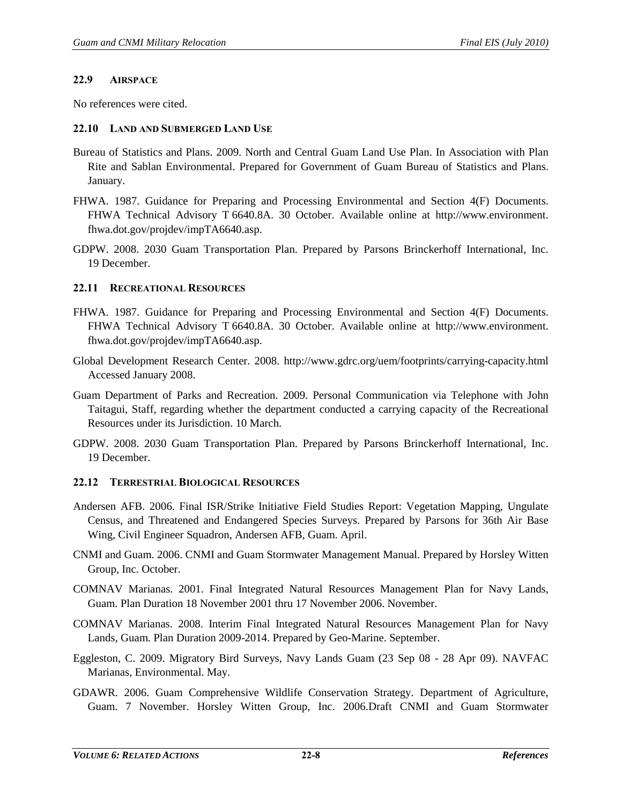#### **22.9 AIRSPACE**

No references were cited.

#### **22.10 LAND AND SUBMERGED LAND USE**

- Bureau of Statistics and Plans. 2009. North and Central Guam Land Use Plan. In Association with Plan Rite and Sablan Environmental. Prepared for Government of Guam Bureau of Statistics and Plans. January.
- FHWA. 1987. Guidance for Preparing and Processing Environmental and Section 4(F) Documents. FHWA Technical Advisory T 6640.8A. 30 October. Available online at http://www.environment. fhwa.dot.gov/projdev/impTA6640.asp.
- GDPW. 2008. 2030 Guam Transportation Plan. Prepared by Parsons Brinckerhoff International, Inc. 19 December.

#### **22.11 RECREATIONAL RESOURCES**

- FHWA. 1987. Guidance for Preparing and Processing Environmental and Section 4(F) Documents. FHWA Technical Advisory T 6640.8A. 30 October. Available online at http://www.environment. fhwa.dot.gov/projdev/impTA6640.asp.
- Global Development Research Center. 2008. http://www.gdrc.org/uem/footprints/carrying-capacity.html Accessed January 2008.
- Guam Department of Parks and Recreation. 2009. Personal Communication via Telephone with John Taitagui, Staff, regarding whether the department conducted a carrying capacity of the Recreational Resources under its Jurisdiction. 10 March.
- GDPW. 2008. 2030 Guam Transportation Plan. Prepared by Parsons Brinckerhoff International, Inc. 19 December.

#### **22.12 TERRESTRIAL BIOLOGICAL RESOURCES**

- Andersen AFB. 2006. Final ISR/Strike Initiative Field Studies Report: Vegetation Mapping, Ungulate Census, and Threatened and Endangered Species Surveys. Prepared by Parsons for 36th Air Base Wing, Civil Engineer Squadron, Andersen AFB, Guam. April.
- CNMI and Guam. 2006. CNMI and Guam Stormwater Management Manual. Prepared by Horsley Witten Group, Inc. October.
- COMNAV Marianas. 2001. Final Integrated Natural Resources Management Plan for Navy Lands, Guam. Plan Duration 18 November 2001 thru 17 November 2006. November.
- COMNAV Marianas. 2008. Interim Final Integrated Natural Resources Management Plan for Navy Lands, Guam. Plan Duration 2009-2014. Prepared by Geo-Marine. September.
- Eggleston, C. 2009. Migratory Bird Surveys, Navy Lands Guam (23 Sep 08 28 Apr 09). NAVFAC Marianas, Environmental. May.
- GDAWR. 2006. Guam Comprehensive Wildlife Conservation Strategy. Department of Agriculture, Guam. 7 November. Horsley Witten Group, Inc. 2006.Draft CNMI and Guam Stormwater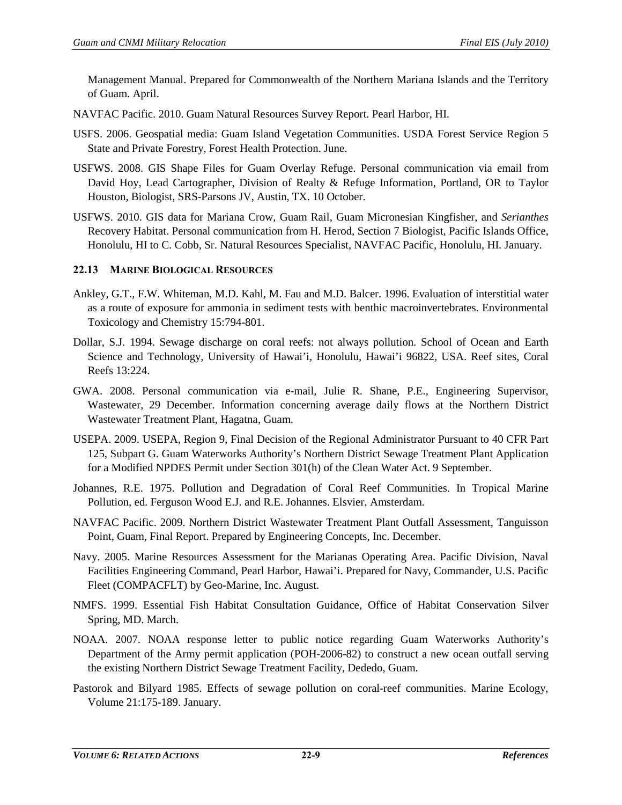Management Manual. Prepared for Commonwealth of the Northern Mariana Islands and the Territory of Guam. April.

- NAVFAC Pacific. 2010. Guam Natural Resources Survey Report. Pearl Harbor, HI.
- USFS. 2006. Geospatial media: Guam Island Vegetation Communities. USDA Forest Service Region 5 State and Private Forestry, Forest Health Protection. June.
- USFWS. 2008. GIS Shape Files for Guam Overlay Refuge. Personal communication via email from David Hoy, Lead Cartographer, Division of Realty & Refuge Information, Portland, OR to Taylor Houston, Biologist, SRS-Parsons JV, Austin, TX. 10 October.
- USFWS. 2010. GIS data for Mariana Crow, Guam Rail, Guam Micronesian Kingfisher, and *Serianthes* Recovery Habitat. Personal communication from H. Herod, Section 7 Biologist, Pacific Islands Office, Honolulu, HI to C. Cobb, Sr. Natural Resources Specialist, NAVFAC Pacific, Honolulu, HI. January.

#### **22.13 MARINE BIOLOGICAL RESOURCES**

- Ankley, G.T., F.W. Whiteman, M.D. Kahl, M. Fau and M.D. Balcer. 1996. Evaluation of interstitial water as a route of exposure for ammonia in sediment tests with benthic macroinvertebrates. Environmental Toxicology and Chemistry 15:794-801.
- Dollar, S.J. 1994. Sewage discharge on coral reefs: not always pollution. School of Ocean and Earth Science and Technology, University of Hawai'i, Honolulu, Hawai'i 96822, USA. Reef sites, Coral Reefs 13:224.
- GWA. 2008. Personal communication via e-mail, Julie R. Shane, P.E., Engineering Supervisor, Wastewater, 29 December. Information concerning average daily flows at the Northern District Wastewater Treatment Plant, Hagatna, Guam.
- USEPA. 2009. USEPA, Region 9, Final Decision of the Regional Administrator Pursuant to 40 CFR Part 125, Subpart G. Guam Waterworks Authority's Northern District Sewage Treatment Plant Application for a Modified NPDES Permit under Section 301(h) of the Clean Water Act. 9 September.
- Johannes, R.E. 1975. Pollution and Degradation of Coral Reef Communities. In Tropical Marine Pollution, ed. Ferguson Wood E.J. and R.E. Johannes. Elsvier, Amsterdam.
- NAVFAC Pacific. 2009. Northern District Wastewater Treatment Plant Outfall Assessment, Tanguisson Point, Guam, Final Report. Prepared by Engineering Concepts, Inc. December.
- Navy. 2005. Marine Resources Assessment for the Marianas Operating Area. Pacific Division, Naval Facilities Engineering Command, Pearl Harbor, Hawai'i. Prepared for Navy, Commander, U.S. Pacific Fleet (COMPACFLT) by Geo-Marine, Inc. August.
- NMFS. 1999. Essential Fish Habitat Consultation Guidance, Office of Habitat Conservation Silver Spring, MD. March.
- NOAA. 2007. NOAA response letter to public notice regarding Guam Waterworks Authority's Department of the Army permit application (POH-2006-82) to construct a new ocean outfall serving the existing Northern District Sewage Treatment Facility, Dededo, Guam.
- Pastorok and Bilyard 1985. Effects of sewage pollution on coral-reef communities. Marine Ecology, Volume 21:175-189. January.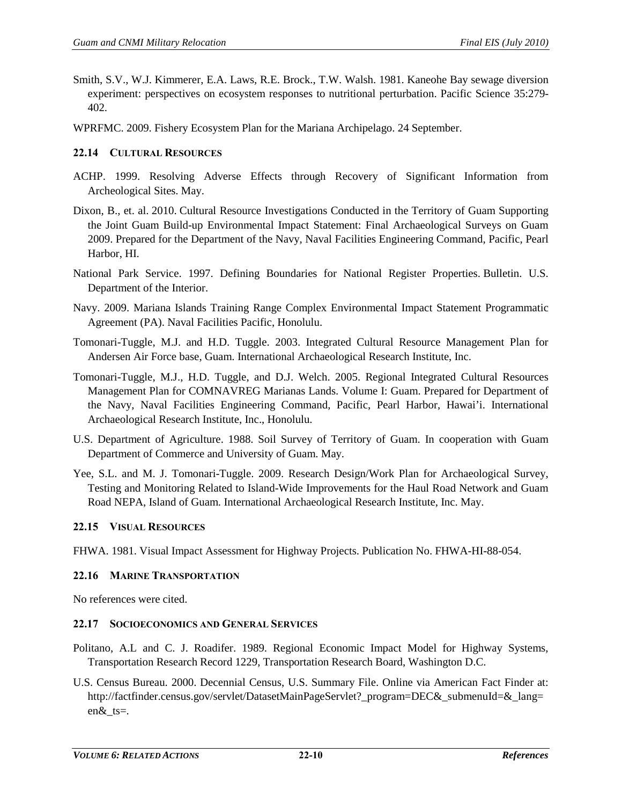- Smith, S.V., W.J. Kimmerer, E.A. Laws, R.E. Brock., T.W. Walsh. 1981. Kaneohe Bay sewage diversion experiment: perspectives on ecosystem responses to nutritional perturbation. Pacific Science 35:279- 402.
- WPRFMC. 2009. Fishery Ecosystem Plan for the Mariana Archipelago. 24 September.

## **22.14 CULTURAL RESOURCES**

- ACHP. 1999. Resolving Adverse Effects through Recovery of Significant Information from Archeological Sites. May.
- Dixon, B., et. al. 2010. Cultural Resource Investigations Conducted in the Territory of Guam Supporting the Joint Guam Build-up Environmental Impact Statement: Final Archaeological Surveys on Guam 2009. Prepared for the Department of the Navy, Naval Facilities Engineering Command, Pacific, Pearl Harbor, HI.
- National Park Service. 1997. Defining Boundaries for National Register Properties. Bulletin. U.S. Department of the Interior.
- Navy. 2009. Mariana Islands Training Range Complex Environmental Impact Statement Programmatic Agreement (PA). Naval Facilities Pacific, Honolulu.
- Tomonari-Tuggle, M.J. and H.D. Tuggle. 2003. Integrated Cultural Resource Management Plan for Andersen Air Force base, Guam. International Archaeological Research Institute, Inc.
- Tomonari-Tuggle, M.J., H.D. Tuggle, and D.J. Welch. 2005. Regional Integrated Cultural Resources Management Plan for COMNAVREG Marianas Lands. Volume I: Guam. Prepared for Department of the Navy, Naval Facilities Engineering Command, Pacific, Pearl Harbor, Hawai'i. International Archaeological Research Institute, Inc., Honolulu.
- U.S. Department of Agriculture. 1988. Soil Survey of Territory of Guam. In cooperation with Guam Department of Commerce and University of Guam. May.
- Yee, S.L. and M. J. Tomonari-Tuggle. 2009. Research Design/Work Plan for Archaeological Survey, Testing and Monitoring Related to Island-Wide Improvements for the Haul Road Network and Guam Road NEPA, Island of Guam. International Archaeological Research Institute, Inc. May.

#### **22.15 VISUAL RESOURCES**

FHWA. 1981. Visual Impact Assessment for Highway Projects. Publication No. FHWA-HI-88-054.

# **22.16 MARINE TRANSPORTATION**

No references were cited.

#### **22.17 SOCIOECONOMICS AND GENERAL SERVICES**

- Politano, A.L and C. J. Roadifer. 1989. Regional Economic Impact Model for Highway Systems, Transportation Research Record 1229, Transportation Research Board, Washington D.C.
- U.S. Census Bureau. 2000. Decennial Census, U.S. Summary File. Online via American Fact Finder at: [http://factfinder.census.gov/servlet/DatasetMainPageServlet?\\_program=DEC&\\_submenuId=&\\_lang=](http://factfinder.census.gov/servlet/DatasetMainPageServlet?_program=DEC&_submenuId=&_lang=en&_ts) [en&\\_ts=](http://factfinder.census.gov/servlet/DatasetMainPageServlet?_program=DEC&_submenuId=&_lang=en&_ts).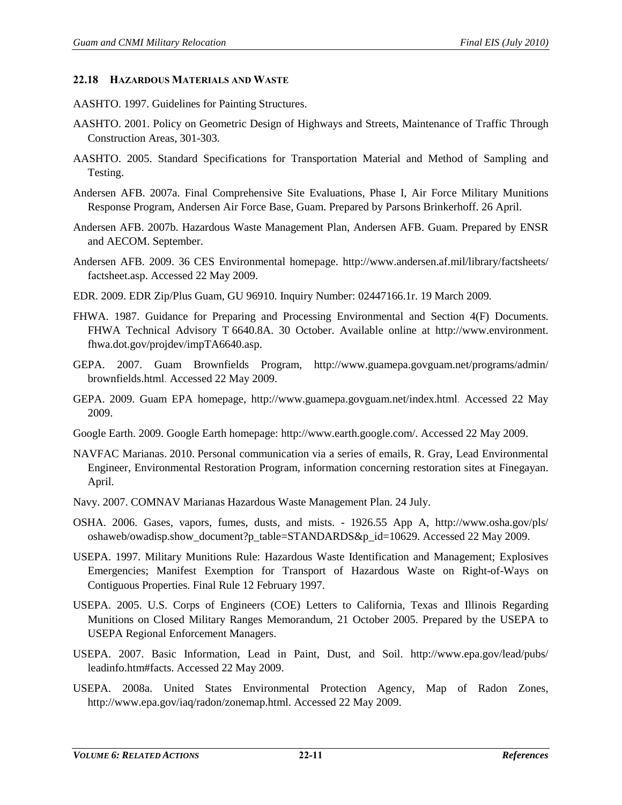#### **22.18 HAZARDOUS MATERIALS AND WASTE**

- AASHTO. 1997. Guidelines for Painting Structures.
- AASHTO. 2001. Policy on Geometric Design of Highways and Streets, Maintenance of Traffic Through Construction Areas, 301-303.
- AASHTO. 2005. Standard Specifications for Transportation Material and Method of Sampling and Testing.
- Andersen AFB. 2007a. Final Comprehensive Site Evaluations, Phase I, Air Force Military Munitions Response Program, Andersen Air Force Base, Guam. Prepared by Parsons Brinkerhoff. 26 April.
- Andersen AFB. 2007b. Hazardous Waste Management Plan, Andersen AFB. Guam. Prepared by ENSR and AECOM. September.
- Andersen AFB. 2009. 36 CES Environmental homepage. http://www.andersen.af.mil/library/factsheets/ factsheet.asp. Accessed 22 May 2009.
- EDR. 2009. EDR Zip/Plus Guam, GU 96910. Inquiry Number: 02447166.1r. 19 March 2009.
- FHWA. 1987. Guidance for Preparing and Processing Environmental and Section 4(F) Documents. FHWA Technical Advisory T 6640.8A. 30 October. Available online at http://www.environment. fhwa.dot.gov/projdev/impTA6640.asp.
- GEPA. 2007. Guam Brownfields Program, http://www.guamepa.govguam.net/programs/admin/ brownfields.html. Accessed 22 May 2009.
- GEPA. 2009. Guam EPA homepage, http://www.guamepa.govguam.net/index.html. Accessed 22 May 2009.
- Google Earth. 2009. Google Earth homepage: http://www.earth.google.com/. Accessed 22 May 2009.
- NAVFAC Marianas. 2010. Personal communication via a series of emails, R. Gray, Lead Environmental Engineer, Environmental Restoration Program, information concerning restoration sites at Finegayan. April.
- Navy. 2007. COMNAV Marianas Hazardous Waste Management Plan. 24 July.
- OSHA. 2006. Gases, vapors, fumes, dusts, and mists. 1926.55 App A, http://www.osha.gov/pls/ oshaweb/owadisp.show\_document?p\_table=STANDARDS&p\_id=10629. Accessed 22 May 2009.
- USEPA. 1997. Military Munitions Rule: Hazardous Waste Identification and Management; Explosives Emergencies; Manifest Exemption for Transport of Hazardous Waste on Right-of-Ways on Contiguous Properties. Final Rule 12 February 1997.
- USEPA. 2005. U.S. Corps of Engineers (COE) Letters to California, Texas and Illinois Regarding Munitions on Closed Military Ranges Memorandum, 21 October 2005. Prepared by the USEPA to USEPA Regional Enforcement Managers.
- USEPA. 2007. Basic Information, Lead in Paint, Dust, and Soil. http://www.epa.gov/lead/pubs/ leadinfo.htm#facts. Accessed 22 May 2009.
- USEPA. 2008a. United States Environmental Protection Agency, Map of Radon Zones, http://www.epa.gov/iaq/radon/zonemap.html. Accessed 22 May 2009.